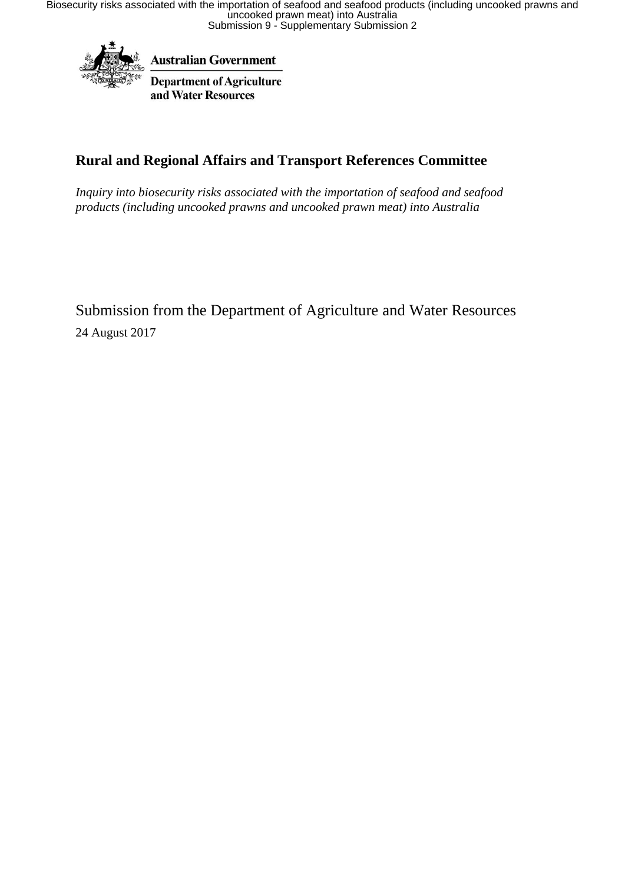

**Australian Government** 

**Department of Agriculture** and Water Resources

# **Rural and Regional Affairs and Transport References Committee**

*Inquiry into biosecurity risks associated with the importation of seafood and seafood products (including uncooked prawns and uncooked prawn meat) into Australia*

Submission from the Department of Agriculture and Water Resources 24 August 2017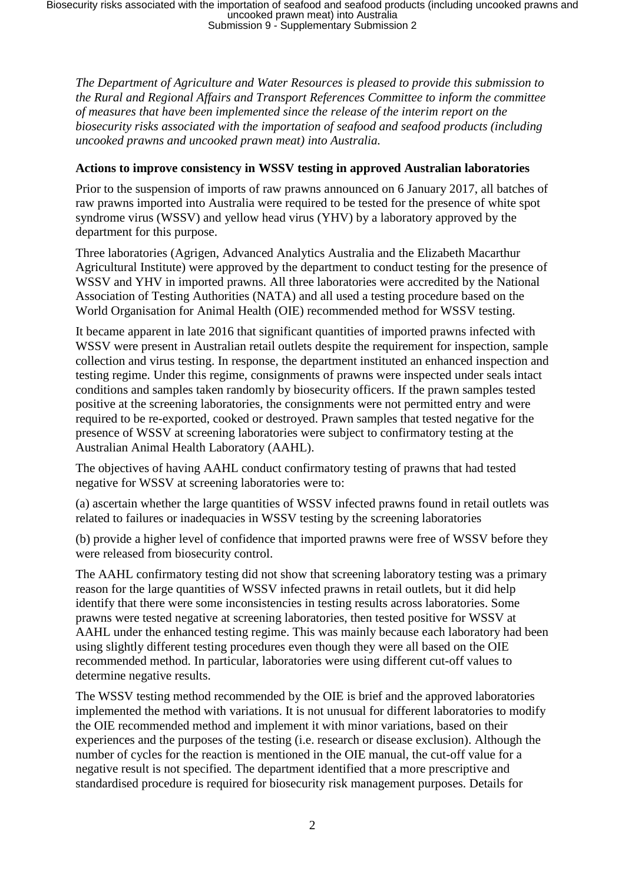*The Department of Agriculture and Water Resources is pleased to provide this submission to the Rural and Regional Affairs and Transport References Committee to inform the committee of measures that have been implemented since the release of the interim report on the biosecurity risks associated with the importation of seafood and seafood products (including uncooked prawns and uncooked prawn meat) into Australia.*

#### **Actions to improve consistency in WSSV testing in approved Australian laboratories**

Prior to the suspension of imports of raw prawns announced on 6 January 2017, all batches of raw prawns imported into Australia were required to be tested for the presence of white spot syndrome virus (WSSV) and yellow head virus (YHV) by a laboratory approved by the department for this purpose.

Three laboratories (Agrigen, Advanced Analytics Australia and the Elizabeth Macarthur Agricultural Institute) were approved by the department to conduct testing for the presence of WSSV and YHV in imported prawns. All three laboratories were accredited by the National Association of Testing Authorities (NATA) and all used a testing procedure based on the World Organisation for Animal Health (OIE) recommended method for WSSV testing.

It became apparent in late 2016 that significant quantities of imported prawns infected with WSSV were present in Australian retail outlets despite the requirement for inspection, sample collection and virus testing. In response, the department instituted an enhanced inspection and testing regime. Under this regime, consignments of prawns were inspected under seals intact conditions and samples taken randomly by biosecurity officers. If the prawn samples tested positive at the screening laboratories, the consignments were not permitted entry and were required to be re-exported, cooked or destroyed. Prawn samples that tested negative for the presence of WSSV at screening laboratories were subject to confirmatory testing at the Australian Animal Health Laboratory (AAHL).

The objectives of having AAHL conduct confirmatory testing of prawns that had tested negative for WSSV at screening laboratories were to:

(a) ascertain whether the large quantities of WSSV infected prawns found in retail outlets was related to failures or inadequacies in WSSV testing by the screening laboratories

(b) provide a higher level of confidence that imported prawns were free of WSSV before they were released from biosecurity control.

The AAHL confirmatory testing did not show that screening laboratory testing was a primary reason for the large quantities of WSSV infected prawns in retail outlets, but it did help identify that there were some inconsistencies in testing results across laboratories. Some prawns were tested negative at screening laboratories, then tested positive for WSSV at AAHL under the enhanced testing regime. This was mainly because each laboratory had been using slightly different testing procedures even though they were all based on the OIE recommended method. In particular, laboratories were using different cut-off values to determine negative results.

The WSSV testing method recommended by the OIE is brief and the approved laboratories implemented the method with variations. It is not unusual for different laboratories to modify the OIE recommended method and implement it with minor variations, based on their experiences and the purposes of the testing (i.e. research or disease exclusion). Although the number of cycles for the reaction is mentioned in the OIE manual, the cut-off value for a negative result is not specified. The department identified that a more prescriptive and standardised procedure is required for biosecurity risk management purposes. Details for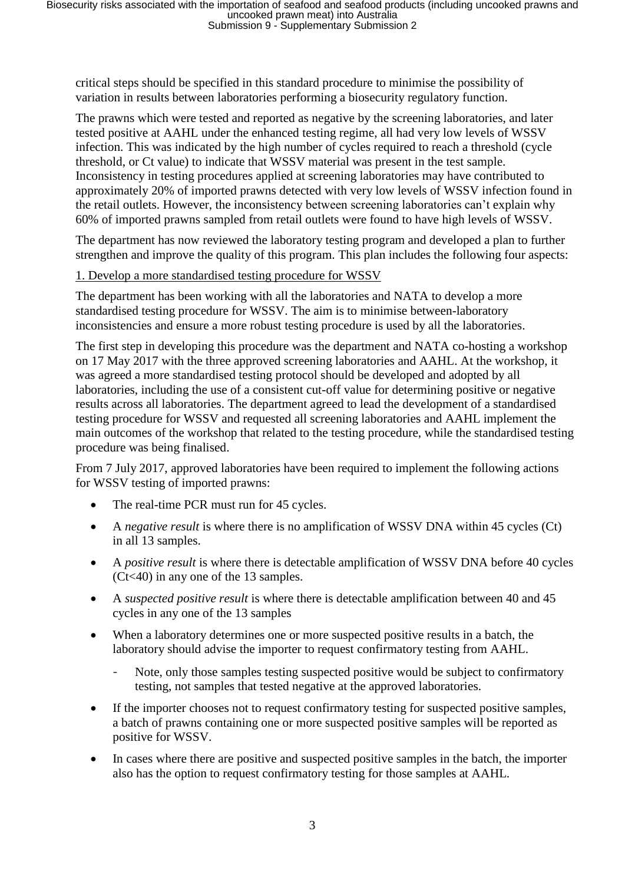critical steps should be specified in this standard procedure to minimise the possibility of variation in results between laboratories performing a biosecurity regulatory function.

The prawns which were tested and reported as negative by the screening laboratories, and later tested positive at AAHL under the enhanced testing regime, all had very low levels of WSSV infection. This was indicated by the high number of cycles required to reach a threshold (cycle threshold, or Ct value) to indicate that WSSV material was present in the test sample. Inconsistency in testing procedures applied at screening laboratories may have contributed to approximately 20% of imported prawns detected with very low levels of WSSV infection found in the retail outlets. However, the inconsistency between screening laboratories can't explain why 60% of imported prawns sampled from retail outlets were found to have high levels of WSSV.

The department has now reviewed the laboratory testing program and developed a plan to further strengthen and improve the quality of this program. This plan includes the following four aspects:

#### 1. Develop a more standardised testing procedure for WSSV

The department has been working with all the laboratories and NATA to develop a more standardised testing procedure for WSSV. The aim is to minimise between-laboratory inconsistencies and ensure a more robust testing procedure is used by all the laboratories.

The first step in developing this procedure was the department and NATA co-hosting a workshop on 17 May 2017 with the three approved screening laboratories and AAHL. At the workshop, it was agreed a more standardised testing protocol should be developed and adopted by all laboratories, including the use of a consistent cut-off value for determining positive or negative results across all laboratories. The department agreed to lead the development of a standardised testing procedure for WSSV and requested all screening laboratories and AAHL implement the main outcomes of the workshop that related to the testing procedure, while the standardised testing procedure was being finalised.

From 7 July 2017, approved laboratories have been required to implement the following actions for WSSV testing of imported prawns:

- The real-time PCR must run for 45 cycles.
- A *negative result* is where there is no amplification of WSSV DNA within 45 cycles (Ct) in all 13 samples.
- A *positive result* is where there is detectable amplification of WSSV DNA before 40 cycles (Ct<40) in any one of the 13 samples.
- A *suspected positive result* is where there is detectable amplification between 40 and 45 cycles in any one of the 13 samples
- When a laboratory determines one or more suspected positive results in a batch, the laboratory should advise the importer to request confirmatory testing from AAHL.
	- Note, only those samples testing suspected positive would be subject to confirmatory testing, not samples that tested negative at the approved laboratories.
- If the importer chooses not to request confirmatory testing for suspected positive samples, a batch of prawns containing one or more suspected positive samples will be reported as positive for WSSV.
- In cases where there are positive and suspected positive samples in the batch, the importer also has the option to request confirmatory testing for those samples at AAHL.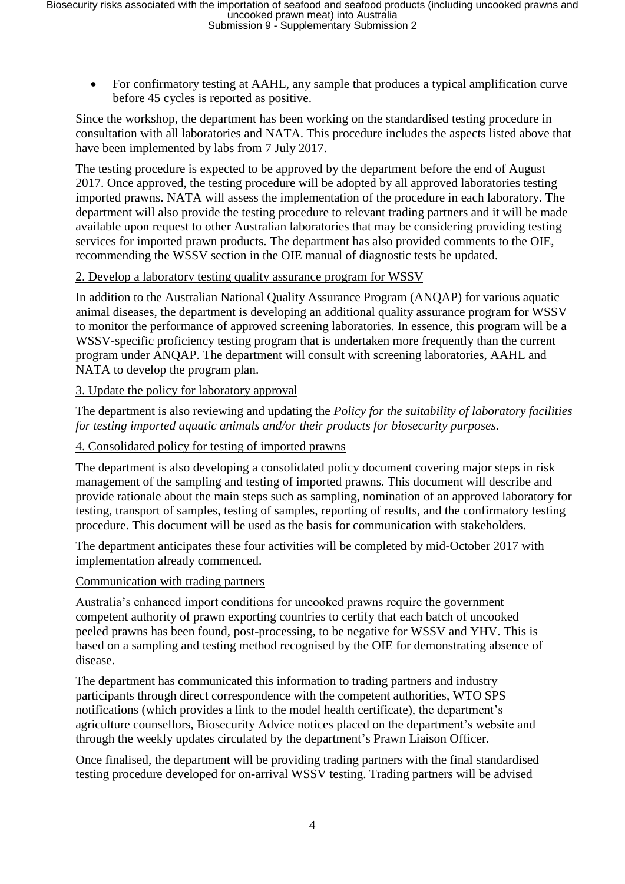For confirmatory testing at AAHL, any sample that produces a typical amplification curve before 45 cycles is reported as positive.

Since the workshop, the department has been working on the standardised testing procedure in consultation with all laboratories and NATA. This procedure includes the aspects listed above that have been implemented by labs from 7 July 2017.

The testing procedure is expected to be approved by the department before the end of August 2017. Once approved, the testing procedure will be adopted by all approved laboratories testing imported prawns. NATA will assess the implementation of the procedure in each laboratory. The department will also provide the testing procedure to relevant trading partners and it will be made available upon request to other Australian laboratories that may be considering providing testing services for imported prawn products. The department has also provided comments to the OIE, recommending the WSSV section in the OIE manual of diagnostic tests be updated.

#### 2. Develop a laboratory testing quality assurance program for WSSV

In addition to the Australian National Quality Assurance Program (ANQAP) for various aquatic animal diseases, the department is developing an additional quality assurance program for WSSV to monitor the performance of approved screening laboratories. In essence, this program will be a WSSV-specific proficiency testing program that is undertaken more frequently than the current program under ANQAP. The department will consult with screening laboratories, AAHL and NATA to develop the program plan.

## 3. Update the policy for laboratory approval

The department is also reviewing and updating the *Policy for the suitability of laboratory facilities for testing imported aquatic animals and/or their products for biosecurity purposes.* 

### 4. Consolidated policy for testing of imported prawns

The department is also developing a consolidated policy document covering major steps in risk management of the sampling and testing of imported prawns. This document will describe and provide rationale about the main steps such as sampling, nomination of an approved laboratory for testing, transport of samples, testing of samples, reporting of results, and the confirmatory testing procedure. This document will be used as the basis for communication with stakeholders.

The department anticipates these four activities will be completed by mid-October 2017 with implementation already commenced.

#### Communication with trading partners

Australia's enhanced import conditions for uncooked prawns require the government competent authority of prawn exporting countries to certify that each batch of uncooked peeled prawns has been found, post-processing, to be negative for WSSV and YHV. This is based on a sampling and testing method recognised by the OIE for demonstrating absence of disease.

The department has communicated this information to trading partners and industry participants through direct correspondence with the competent authorities, WTO SPS notifications (which provides a link to the model health certificate), the department's agriculture counsellors, Biosecurity Advice notices placed on the department's website and through the weekly updates circulated by the department's Prawn Liaison Officer.

Once finalised, the department will be providing trading partners with the final standardised testing procedure developed for on-arrival WSSV testing. Trading partners will be advised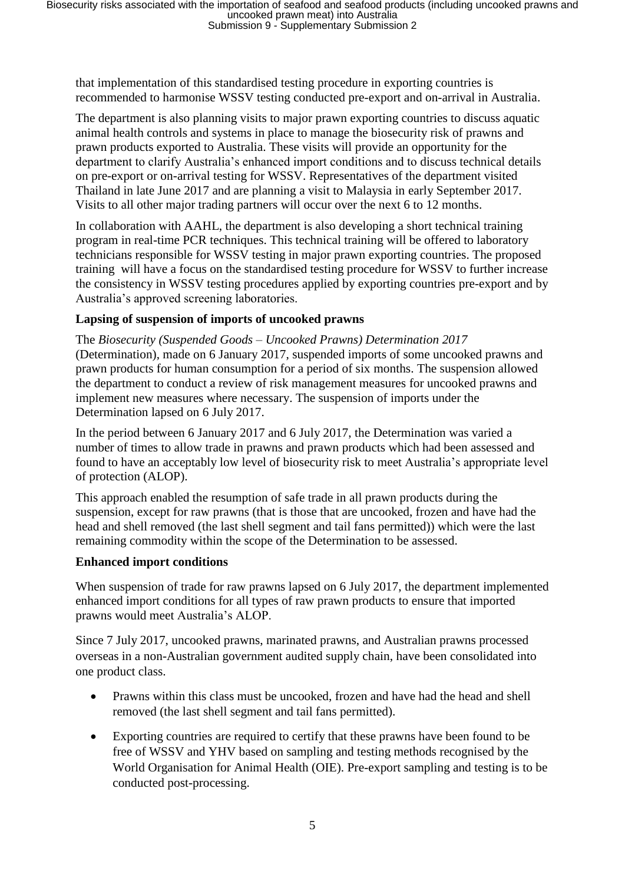that implementation of this standardised testing procedure in exporting countries is recommended to harmonise WSSV testing conducted pre-export and on-arrival in Australia.

The department is also planning visits to major prawn exporting countries to discuss aquatic animal health controls and systems in place to manage the biosecurity risk of prawns and prawn products exported to Australia. These visits will provide an opportunity for the department to clarify Australia's enhanced import conditions and to discuss technical details on pre-export or on-arrival testing for WSSV. Representatives of the department visited Thailand in late June 2017 and are planning a visit to Malaysia in early September 2017. Visits to all other major trading partners will occur over the next 6 to 12 months.

In collaboration with AAHL, the department is also developing a short technical training program in real-time PCR techniques. This technical training will be offered to laboratory technicians responsible for WSSV testing in major prawn exporting countries. The proposed training will have a focus on the standardised testing procedure for WSSV to further increase the consistency in WSSV testing procedures applied by exporting countries pre-export and by Australia's approved screening laboratories.

## **Lapsing of suspension of imports of uncooked prawns**

The *Biosecurity (Suspended Goods – Uncooked Prawns) Determination 2017* (Determination), made on 6 January 2017, suspended imports of some uncooked prawns and prawn products for human consumption for a period of six months. The suspension allowed the department to conduct a review of risk management measures for uncooked prawns and implement new measures where necessary. The suspension of imports under the Determination lapsed on 6 July 2017.

In the period between 6 January 2017 and 6 July 2017, the Determination was varied a number of times to allow trade in prawns and prawn products which had been assessed and found to have an acceptably low level of biosecurity risk to meet Australia's appropriate level of protection (ALOP).

This approach enabled the resumption of safe trade in all prawn products during the suspension, except for raw prawns (that is those that are uncooked, frozen and have had the head and shell removed (the last shell segment and tail fans permitted)) which were the last remaining commodity within the scope of the Determination to be assessed.

#### **Enhanced import conditions**

When suspension of trade for raw prawns lapsed on 6 July 2017, the department implemented enhanced import conditions for all types of raw prawn products to ensure that imported prawns would meet Australia's ALOP.

Since 7 July 2017, uncooked prawns, marinated prawns, and Australian prawns processed overseas in a non-Australian government audited supply chain, have been consolidated into one product class.

- Prawns within this class must be uncooked, frozen and have had the head and shell removed (the last shell segment and tail fans permitted).
- Exporting countries are required to certify that these prawns have been found to be free of WSSV and YHV based on sampling and testing methods recognised by the World Organisation for Animal Health (OIE). Pre-export sampling and testing is to be conducted post-processing.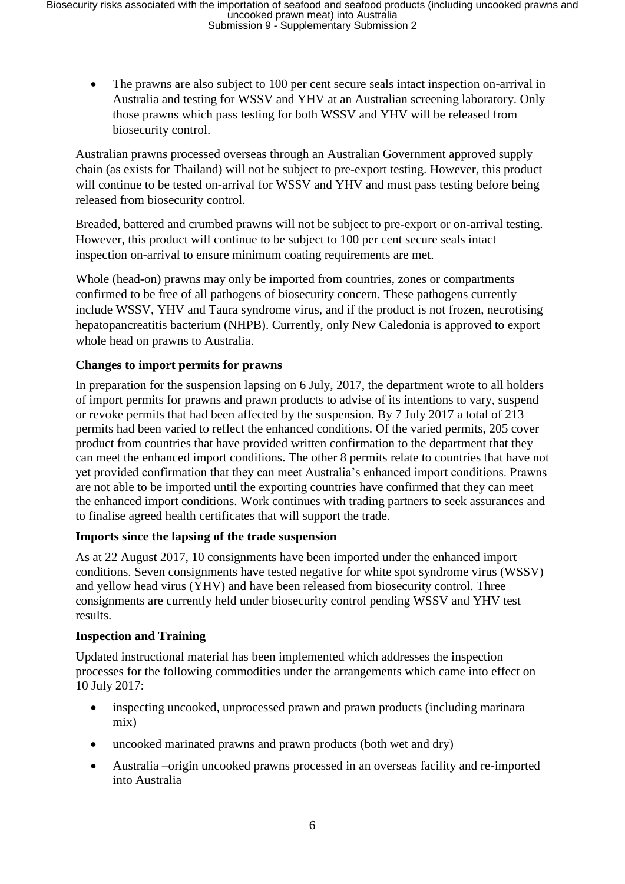• The prawns are also subject to 100 per cent secure seals intact inspection on-arrival in Australia and testing for WSSV and YHV at an Australian screening laboratory. Only those prawns which pass testing for both WSSV and YHV will be released from biosecurity control.

Australian prawns processed overseas through an Australian Government approved supply chain (as exists for Thailand) will not be subject to pre-export testing. However, this product will continue to be tested on-arrival for WSSV and YHV and must pass testing before being released from biosecurity control.

Breaded, battered and crumbed prawns will not be subject to pre-export or on-arrival testing. However, this product will continue to be subject to 100 per cent secure seals intact inspection on-arrival to ensure minimum coating requirements are met.

Whole (head-on) prawns may only be imported from countries, zones or compartments confirmed to be free of all pathogens of biosecurity concern. These pathogens currently include WSSV, YHV and Taura syndrome virus, and if the product is not frozen, necrotising hepatopancreatitis bacterium (NHPB). Currently, only New Caledonia is approved to export whole head on prawns to Australia.

## **Changes to import permits for prawns**

In preparation for the suspension lapsing on 6 July, 2017, the department wrote to all holders of import permits for prawns and prawn products to advise of its intentions to vary, suspend or revoke permits that had been affected by the suspension. By 7 July 2017 a total of 213 permits had been varied to reflect the enhanced conditions. Of the varied permits, 205 cover product from countries that have provided written confirmation to the department that they can meet the enhanced import conditions. The other 8 permits relate to countries that have not yet provided confirmation that they can meet Australia's enhanced import conditions. Prawns are not able to be imported until the exporting countries have confirmed that they can meet the enhanced import conditions. Work continues with trading partners to seek assurances and to finalise agreed health certificates that will support the trade.

#### **Imports since the lapsing of the trade suspension**

As at 22 August 2017, 10 consignments have been imported under the enhanced import conditions. Seven consignments have tested negative for white spot syndrome virus (WSSV) and yellow head virus (YHV) and have been released from biosecurity control. Three consignments are currently held under biosecurity control pending WSSV and YHV test results.

#### **Inspection and Training**

Updated instructional material has been implemented which addresses the inspection processes for the following commodities under the arrangements which came into effect on 10 July 2017:

- inspecting uncooked, unprocessed prawn and prawn products (including marinara mix)
- uncooked marinated prawns and prawn products (both wet and dry)
- Australia –origin uncooked prawns processed in an overseas facility and re-imported into Australia